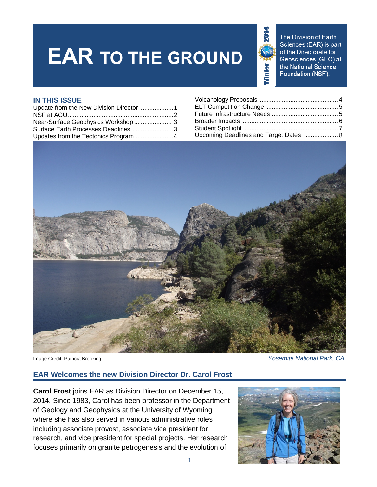# **EAR TO THE GROUND**



The Division of Earth Sciences (EAR) is part of the Directorate for Geosciences (GEO) at the National Science Foundation (NSF).

#### **IN THIS ISSUE**

| Surface Earth Processes Deadlines 3 |                                     |
|-------------------------------------|-------------------------------------|
|                                     | Upcoming Deadlines and Target Dates |

| <b>IN THIS ISSUE</b>                    |                                        |
|-----------------------------------------|----------------------------------------|
| Update from the New Division Director 1 |                                        |
|                                         |                                        |
| Near-Surface Geophysics Workshop  3     |                                        |
| Surface Earth Processes Deadlines 3     |                                        |
| Updates from the Tectonics Program 4    | Upcoming Deadlines and Target Dates  8 |



Image Credit: Patricia Brooking *Yosemite National Park, CA* 

# **EAR Welcomes the new Division Director Dr. Carol Frost**

**Carol Frost** joins EAR as Division Director on December 15, 2014. Since 1983, Carol has been professor in the Department of Geology and Geophysics at the University of Wyoming where she has also served in various administrative roles including associate provost, associate vice president for research, and vice president for special projects. Her research focuses primarily on granite petrogenesis and the evolution of

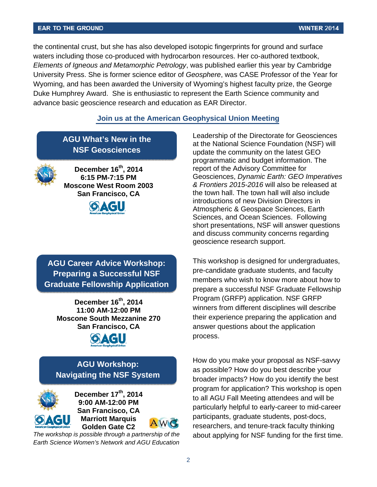#### **EAR TO THE GROUND**

the continental crust, but she has also developed isotopic fingerprints for ground and surface waters including those co-produced with hydrocarbon resources. Her co-authored textbook, *Elements of Igneous and Metamorphic Petrology*, was published earlier this year by Cambridge University Press. She is former science editor of *Geosphere*, was CASE Professor of the Year for Wyoming, and has been awarded the University of Wyoming's highest faculty prize, the George Duke Humphrey Award. She is enthusiastic to represent the Earth Science community and advance basic geoscience research and education as EAR Director.

#### **Join us at the American Geophysical Union Meeting**

**AGU What's New in the NSF Geosciences** 



**December 16th, 2014 6:15 PM-7:15 PM Moscone West Room 2003 San Francisco, CA** 



**AGU Career Advice Workshop: Preparing a Successful NSF Graduate Fellowship Application** 

**December 16<sup>th</sup>, 2014 11:00 AM-12:00 PM Moscone South Mezzanine 270 San Francisco, CA** 



# **AGU Workshop: Navigating the NSF System**



**December 17th, 2014 9:00 AM-12:00 PM San Francisco, CA Marriott Marquis Golden Gate C2** 

 *The workshop is possible through a partnership of the Earth Science Women's Network and AGU Education* Leadership of the Directorate for Geosciences at the National Science Foundation (NSF) will update the community on the latest GEO programmatic and budget information. The report of the Advisory Committee for Geosciences, *Dynamic Earth: GEO Imperatives & Frontiers 2015-2016* will also be released at the town hall. The town hall will also include introductions of new Division Directors in Atmospheric & Geospace Sciences, Earth Sciences, and Ocean Sciences. Following short presentations, NSF will answer questions and discuss community concerns regarding geoscience research support.

This workshop is designed for undergraduates, pre-candidate graduate students, and faculty members who wish to know more about how to prepare a successful NSF Graduate Fellowship Program (GRFP) application. NSF GRFP winners from different disciplines will describe their experience preparing the application and answer questions about the application process.

How do you make your proposal as NSF-savvy as possible? How do you best describe your broader impacts? How do you identify the best program for application? This workshop is open to all AGU Fall Meeting attendees and will be particularly helpful to early-career to mid-career participants, graduate students, post-docs, researchers, and tenure-track faculty thinking about applying for NSF funding for the first time.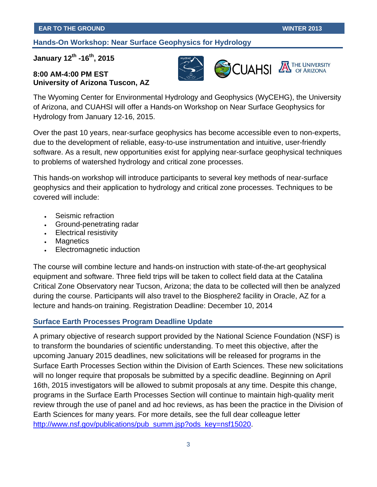## **Hands-On Workshop: Near Surface Geophysics for Hydrology**

# **January 12th -16th, 2015**

## **8:00 AM-4:00 PM EST University of Arizona Tuscon, AZ**



**S**CUAHSI

THE UNIVERSITY

The Wyoming Center for Environmental Hydrology and Geophysics (WyCEHG), the University of Arizona, and CUAHSI will offer a Hands-on Workshop on Near Surface Geophysics for Hydrology from January 12-16, 2015.

Over the past 10 years, near-surface geophysics has become accessible even to non-experts, due to the development of reliable, easy-to-use instrumentation and intuitive, user-friendly software. As a result, new opportunities exist for applying near-surface geophysical techniques to problems of watershed hydrology and critical zone processes.

This hands-on workshop will introduce participants to several key methods of near-surface geophysics and their application to hydrology and critical zone processes. Techniques to be covered will include:

- Seismic refraction
- Ground-penetrating radar
- Electrical resistivity
- Magnetics
- Electromagnetic induction

The course will combine lecture and hands-on instruction with state-of-the-art geophysical equipment and software. Three field trips will be taken to collect field data at the Catalina Critical Zone Observatory near Tucson, Arizona; the data to be collected will then be analyzed during the course. Participants will also travel to the Biosphere2 facility in Oracle, AZ for a lecture and hands-on training. Registration Deadline: December 10, 2014

#### **Surface Earth Processes Program Deadline Update**

A primary objective of research support provided by the National Science Foundation (NSF) is to transform the boundaries of scientific understanding. To meet this objective, after the upcoming January 2015 deadlines, new solicitations will be released for programs in the Surface Earth Processes Section within the Division of Earth Sciences. These new solicitations will no longer require that proposals be submitted by a specific deadline. Beginning on April 16th, 2015 investigators will be allowed to submit proposals at any time. Despite this change, programs in the Surface Earth Processes Section will continue to maintain high-quality merit review through the use of panel and ad hoc reviews, as has been the practice in the Division of Earth Sciences for many years. For more details, see the full dear colleague letter http://www.nsf.gov/publications/pub\_summ.jsp?ods\_key=nsf15020.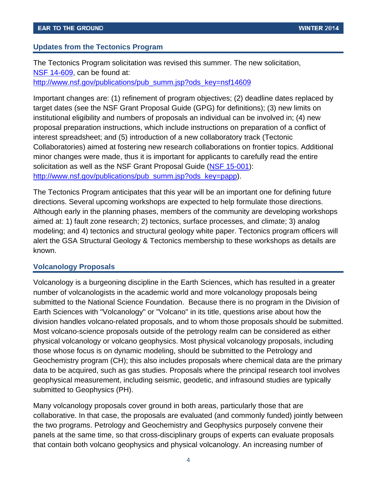## <span id="page-3-0"></span>**Updates from the Tectonics Program**

The Tectonics Program solicitation was revised this summer. The new solicitation, [NSF 14-609,](http://www.nsf.gov/publications/pub_summ.jsp?ods_key=nsf14609) can be found at: http://www.nsf.gov/publications/pub\_summ.jsp?ods\_key=nsf14609

Important changes are: (1) refinement of program objectives; (2) deadline dates replaced by target dates (see the NSF Grant Proposal Guide (GPG) for definitions); (3) new limits on institutional eligibility and numbers of proposals an individual can be involved in; (4) new proposal preparation instructions, which include instructions on preparation of a conflict of interest spreadsheet; and (5) introduction of a new collaboratory track (Tectonic Collaboratories) aimed at fostering new research collaborations on frontier topics. Additional minor changes were made, thus it is important for applicants to carefully read the entire solicitation as well as the NSF Grant Proposal Guide (NSF 15-001): http://www.nsf.gov/publications/pub\_summ.jsp?ods\_key=papp).

The Tectonics Program anticipates that this year will be an important one for defining future directions. Several upcoming workshops are expected to help formulate those directions. Although early in the planning phases, members of the community are developing workshops aimed at: 1) fault zone research; 2) tectonics, surface processes, and climate; 3) analog modeling; and 4) tectonics and structural geology white paper. Tectonics program officers will alert the GSA Structural Geology & Tectonics membership to these workshops as details are known.

#### **Volcanology Proposals**

Volcanology is a burgeoning discipline in the Earth Sciences, which has resulted in a greater number of volcanologists in the academic world and more volcanology proposals being submitted to the National Science Foundation. Because there is no program in the Division of Earth Sciences with "Volcanology" or "Volcano" in its title, questions arise about how the division handles volcano-related proposals, and to whom those proposals should be submitted. Most volcano-science proposals outside of the petrology realm can be considered as either physical volcanology or volcano geophysics. Most physical volcanology proposals, including those whose focus is on dynamic modeling, should be submitted to the Petrology and Geochemistry program (CH); this also includes proposals where chemical data are the primary data to be acquired, such as gas studies. Proposals where the principal research tool involves geophysical measurement, including seismic, geodetic, and infrasound studies are typically submitted to Geophysics (PH).

Many volcanology proposals cover ground in both areas, particularly those that are collaborative. In that case, the proposals are evaluated (and commonly funded) jointly between the two programs. Petrology and Geochemistry and Geophysics purposely convene their panels at the same time, so that cross-disciplinary groups of experts can evaluate proposals that contain both volcano geophysics and physical volcanology. An increasing number of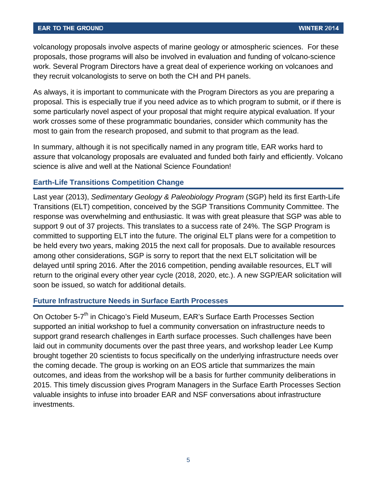<span id="page-4-0"></span>volcanology proposals involve aspects of marine geology or atmospheric sciences. For these proposals, those programs will also be involved in evaluation and funding of volcano-science work. Several Program Directors have a great deal of experience working on volcanoes and they recruit volcanologists to serve on both the CH and PH panels.

As always, it is important to communicate with the Program Directors as you are preparing a proposal. This is especially true if you need advice as to which program to submit, or if there is some particularly novel aspect of your proposal that might require atypical evaluation. If your work crosses some of these programmatic boundaries, consider which community has the most to gain from the research proposed, and submit to that program as the lead.

In summary, although it is not specifically named in any program title, EAR works hard to assure that volcanology proposals are evaluated and funded both fairly and efficiently. Volcano science is alive and well at the National Science Foundation!

# **Earth-Life Transitions Competition Change**

Last year (2013), *Sedimentary Geology & Paleobiology Program* (SGP) held its first Earth-Life Transitions (ELT) competition, conceived by the SGP Transitions Community Committee. The response was overwhelming and enthusiastic. It was with great pleasure that SGP was able to support 9 out of 37 projects. This translates to a success rate of 24%. The SGP Program is committed to supporting ELT into the future. The original ELT plans were for a competition to be held every two years, making 2015 the next call for proposals. Due to available resources among other considerations, SGP is sorry to report that the next ELT solicitation will be delayed until spring 2016. After the 2016 competition, pending available resources, ELT will return to the original every other year cycle (2018, 2020, etc.). A new SGP/EAR solicitation will soon be issued, so watch for additional details.

#### **Future Infrastructure Needs in Surface Earth Processes**

On October 5-7<sup>th</sup> in Chicago's Field Museum, EAR's Surface Earth Processes Section supported an initial workshop to fuel a community conversation on infrastructure needs to support grand research challenges in Earth surface processes. Such challenges have been laid out in community documents over the past three years, and workshop leader Lee Kump brought together 20 scientists to focus specifically on the underlying infrastructure needs over the coming decade. The group is working on an EOS article that summarizes the main outcomes, and ideas from the workshop will be a basis for further community deliberations in 2015. This timely discussion gives Program Managers in the Surface Earth Processes Section valuable insights to infuse into broader EAR and NSF conversations about infrastructure investments.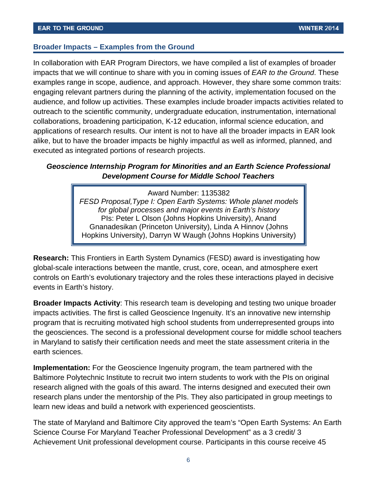## <span id="page-5-0"></span>**Broader Impacts – Examples from the Ground**

In collaboration with EAR Program Directors, we have compiled a list of examples of broader impacts that we will continue to share with you in coming issues of *EAR to the Ground*. These examples range in scope, audience, and approach. However, they share some common traits: engaging relevant partners during the planning of the activity, implementation focused on the audience, and follow up activities. These examples include broader impacts activities related to outreach to the scientific community, undergraduate education, instrumentation, international collaborations, broadening participation, K-12 education, informal science education, and applications of research results. Our intent is not to have all the broader impacts in EAR look alike, but to have the broader impacts be highly impactful as well as informed, planned, and executed as integrated portions of research projects.

# *Geoscience Internship Program for Minorities and an Earth Science Professional Development Course for Middle School Teachers*

Award Number: 1135382 *FESD Proposal,Type I: Open Earth Systems: Whole planet models for global processes and major events in Earth's history*  PIs: Peter L Olson (Johns Hopkins University), Anand Gnanadesikan (Princeton University), Linda A Hinnov (Johns Hopkins University), Darryn W Waugh (Johns Hopkins University)

**Research:** This Frontiers in Earth System Dynamics (FESD) award is investigating how global-scale interactions between the mantle, crust, core, ocean, and atmosphere exert controls on Earth's evolutionary trajectory and the roles these interactions played in decisive events in Earth's history.

**Broader Impacts Activity**: This research team is developing and testing two unique broader impacts activities. The first is called Geoscience Ingenuity. It's an innovative new internship program that is recruiting motivated high school students from underrepresented groups into the geosciences. The second is a professional development course for middle school teachers in Maryland to satisfy their certification needs and meet the state assessment criteria in the earth sciences.

**Implementation:** For the Geoscience Ingenuity program, the team partnered with the Baltimore Polytechnic Institute to recruit two intern students to work with the PIs on original research aligned with the goals of this award. The interns designed and executed their own research plans under the mentorship of the PIs. They also participated in group meetings to learn new ideas and build a network with experienced geoscientists.

The state of Maryland and Baltimore City approved the team's "Open Earth Systems: An Earth Science Course For Maryland Teacher Professional Development" as a 3 credit/ 3 Achievement Unit professional development course. Participants in this course receive 45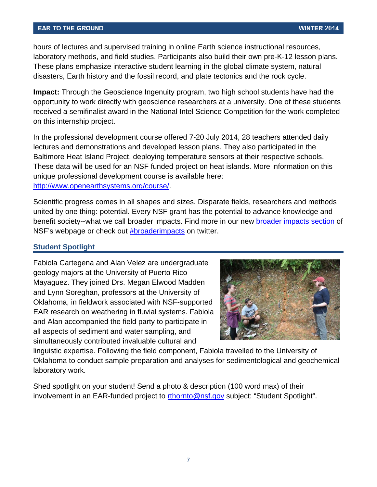#### <span id="page-6-0"></span>**EAR TO THE GROUND**

hours of lectures and supervised training in online Earth science instructional resources, laboratory methods, and field studies. Participants also build their own pre-K-12 lesson plans. These plans emphasize interactive student learning in the global climate system, natural disasters, Earth history and the fossil record, and plate tectonics and the rock cycle.

**Impact:** Through the Geoscience Ingenuity program, two high school students have had the opportunity to work directly with geoscience researchers at a university. One of these students received a semifinalist award in the National Intel Science Competition for the work completed on this internship project.

In the professional development course offered 7-20 July 2014, 28 teachers attended daily lectures and demonstrations and developed lesson plans. They also participated in the Baltimore Heat Island Project, deploying temperature sensors at their respective schools. These data will be used for an NSF funded project on heat islands. More information on this unique professional development course is available here: http://www.openearthsystems.org/course/.

Scientific progress comes in all shapes and sizes. Disparate fields, researchers and methods united by one thing: potential. Every NSF grant has the potential to advance knowledge and benefit society--what we call broader impacts. Find more in our new [broader impacts section](http://www.nsf.gov/od/iia/special/broaderimpacts/?WT.mc_id=USNSF_51) of NSF's webpage or check out #broaderimpacts on twitter.

#### **Student Spotlight**

Fabiola Cartegena and Alan Velez are undergraduate geology majors at the University of Puerto Rico Mayaguez. They joined Drs. Megan Elwood Madden and Lynn Soreghan, professors at the University of Oklahoma, in fieldwork associated with NSF-supported EAR research on weathering in fluvial systems. Fabiola and Alan accompanied the field party to participate in all aspects of sediment and water sampling, and simultaneously contributed invaluable cultural and



linguistic expertise. Following the field component, Fabiola travelled to the University of Oklahoma to conduct sample preparation and analyses for sedimentological and geochemical laboratory work.

Shed spotlight on your student! Send a photo & description (100 word max) of their involvement in an EAR-funded project to rthornto@nsf.gov subject: "Student Spotlight".